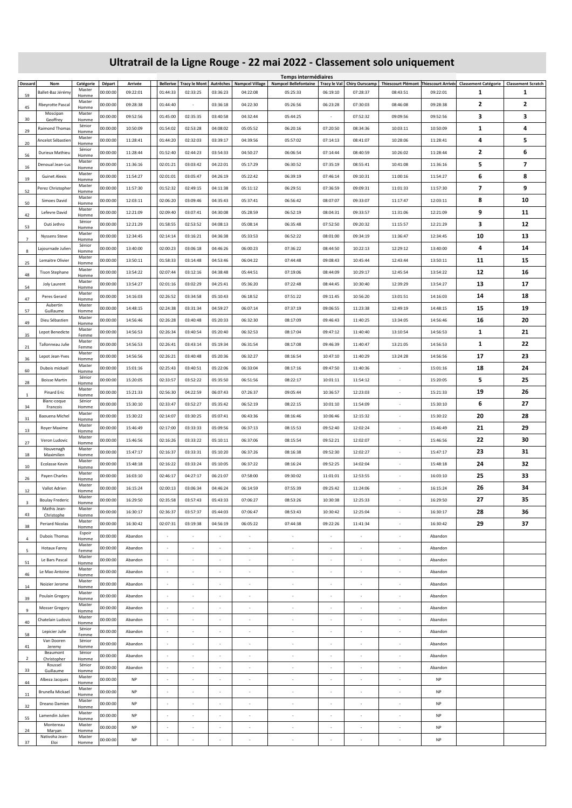## **Ultratrail de la Ligne Rouge - 22 mai 2022 - Classement solo uniquement**

| Dossard                 | Nom                           | Catégorie       | Départ   | Arrivée   |                          |                          |                          | Bellerive   Tracy le Mont   Autrêches   Nampcel Village | Temps intermédiaires<br><b>Nampcel Bellefontaine</b> |                          |                          |                          |           | Tracy le Val   Chiry Ourscamp   Thiescourt Plémont   Thiescourt Arrivée   Classement Catégorie | <b>Classement Scratch</b> |
|-------------------------|-------------------------------|-----------------|----------|-----------|--------------------------|--------------------------|--------------------------|---------------------------------------------------------|------------------------------------------------------|--------------------------|--------------------------|--------------------------|-----------|------------------------------------------------------------------------------------------------|---------------------------|
|                         | Ballet-Baz Jérémy             | Master          | 00:00:00 | 09:22:01  | 01:44:33                 | 02:33:25                 | 03:36:23                 | 04:22:08                                                | 05:25:33                                             | 06:19:10                 | 07:28:37                 | 08:43:51                 | 09:22:01  | 1                                                                                              | 1                         |
| 59                      |                               | Homme<br>Master |          |           |                          |                          |                          |                                                         |                                                      |                          |                          |                          |           |                                                                                                |                           |
| 45                      | <b>Rbeyrotte Pascal</b>       | Homme           | 00:00:00 | 09:28:38  | 01:44:40                 | $\sim$                   | 03:36:18                 | 04:22:30                                                | 05:26:56                                             | 06:23:28                 | 07:30:03                 | 08:46:08                 | 09:28:38  | 2                                                                                              | $\overline{2}$            |
| 30                      | Moscipan<br>Geoffrey          | Master<br>Homme | 00:00:00 | 09:52:56  | 01:45:00                 | 02:35:35                 | 03:40:58                 | 04:32:44                                                | 05:44:25                                             | $\sim$                   | 07:52:32                 | 09:09:56                 | 09:52:56  | з                                                                                              | 3                         |
|                         | Raimond Thomas                | Sénior          | 00:00:00 | 10:50:09  | 01:54:02                 | 02:53:28                 | 04:08:02                 | 05:05:52                                                | 06:20:16                                             | 07:20:50                 | 08:34:36                 | 10:03:11                 | 10:50:09  | 1                                                                                              | 4                         |
| 29                      |                               | Homme<br>Master |          |           |                          |                          |                          |                                                         |                                                      |                          |                          |                          |           |                                                                                                |                           |
| 20                      | Ancelot Sébastien             | Homme           | 00:00:00 | 11:28:41  | 01:44:20                 | 02:32:03                 | 03:39:17                 | 04:39:56                                                | 05:57:02                                             | 07:14:13                 | 08:41:07                 | 10:28:06                 | 11:28:41  | 4                                                                                              | 5                         |
| 56                      | Durieux Mathieu               | Sénior<br>Homme | 00:00:00 | 11:28:44  | 01:52:40                 | 02:44:23                 | 03:54:33                 | 04:50:27                                                | 06:06:54                                             | 07:14:44                 | 08:40:59                 | 10:26:02                 | 11:28:44  | 2                                                                                              | 6                         |
|                         | Denoual Jean-Luc              | Master          | 00:00:00 | 11:36:16  | 02:01:21                 | 03:03:42                 | 04:22:01                 | 05:17:29                                                | 06:30:52                                             | 07:35:19                 | 08:55:41                 | 10:41:08                 | 11:36:16  | 5                                                                                              | 7                         |
| 16                      |                               | Homme<br>Master |          |           |                          |                          |                          |                                                         |                                                      |                          |                          |                          |           |                                                                                                |                           |
| 19                      | <b>Guinet Alexis</b>          | Homme           | 00:00:00 | 11:54:27  | 02:01:01                 | 03:05:47                 | 04:26:19                 | 05:22:42                                                | 06:39:19                                             | 07:46:14                 | 09:10:31                 | 11:00:16                 | 11:54:27  | 6                                                                                              | 8                         |
| 52                      | Perez Christopher             | Master<br>Homme | 00:00:00 | 11:57:30  | 01:52:32                 | 02:49:15                 | 04:11:38                 | 05:11:12                                                | 06:29:51                                             | 07:36:59                 | 09:09:31                 | 11:01:33                 | 11:57:30  | $\overline{\phantom{a}}$                                                                       | 9                         |
|                         | Simoes David                  | Master          | 00:00:00 | 12:03:11  | 02:06:20                 | 03:09:46                 | 04:35:43                 | 05:37:41                                                | 06:56:42                                             | 08:07:07                 | 09:33:07                 | 11:17:47                 | 12:03:11  | 8                                                                                              | 10                        |
| 50                      |                               | Homme<br>Master |          |           |                          |                          |                          |                                                         |                                                      |                          |                          |                          |           |                                                                                                |                           |
| 42                      | Lefevre David                 | Homme           | 00:00:00 | 12:21:09  | 02:09:40                 | 03:07:41                 | 04:30:08                 | 05:28:59                                                | 06:52:19                                             | 08:04:31                 | 09:33:57                 | 11:31:06                 | 12:21:09  | 9                                                                                              | 11                        |
| 53                      | Outi Jethro                   | Sénior<br>Homme | 00:00:00 | 12:21:29  | 01:58:55                 | 02:53:52                 | 04:08:13                 | 05:08:14                                                | 06:35:48                                             | 07:52:50                 | 09:20:32                 | 11:15:57                 | 12:21:29  | з                                                                                              | 12                        |
|                         | <b>Nyssens Steve</b>          | Master          | 00:00:00 | 12:34:45  | 02:14:14                 | 03:16:21                 | 04:36:38                 | 05:33:53                                                | 06:52:22                                             | 08:01:00                 | 09:34:19                 | 11:36:47                 | 12:34:45  | 10                                                                                             | 13                        |
| $7\phantom{.0}$         |                               | Homme<br>Sénior |          |           |                          |                          |                          |                                                         |                                                      |                          |                          |                          |           |                                                                                                |                           |
| 8                       | Lajournade Julien             | Homme           | 00:00:00 | 13:40:00  | 02:00:23                 | 03:06:18                 | 04:46:26                 | 06:00:23                                                | 07:36:22                                             | 08:44:50                 | 10:22:13                 | 12:29:12                 | 13:40:00  | 4                                                                                              | 14                        |
| 25                      | Lemaitre Olivier              | Master<br>Homme | 00:00:00 | 13:50:11  | 01:58:33                 | 03:14:48                 | 04:53:46                 | 06:04:22                                                | 07:44:48                                             | 09:08:43                 | 10:45:44                 | 12:43:44                 | 13:50:11  | 11                                                                                             | 15                        |
|                         | <b>Tison Stephane</b>         | Master          | 00:00:00 | 13:54:22  | 02:07:44                 | 03:12:16                 | 04:38:48                 | 05:44:51                                                | 07:19:06                                             | 08:44:09                 | 10:29:17                 | 12:45:54                 | 13:54:22  | 12                                                                                             | 16                        |
| 48                      |                               | Homme<br>Master |          |           |                          |                          |                          |                                                         |                                                      |                          |                          |                          |           |                                                                                                |                           |
| 54                      | Joly Laurent                  | Homme           | 00:00:00 | 13:54:27  | 02:01:16                 | 03:02:29                 | 04:25:41                 | 05:36:20                                                | 07:22:48                                             | 08:44:45                 | 10:30:40                 | 12:39:29                 | 13:54:27  | 13                                                                                             | 17                        |
| 47                      | Peres Gerard                  | Master<br>Homme | 00:00:00 | 14:16:03  | 02:26:52                 | 03:34:58                 | 05:10:43                 | 06:18:52                                                | 07:51:22                                             | 09:11:45                 | 10:56:20                 | 13:01:51                 | 14:16:03  | 14                                                                                             | 18                        |
| 57                      | Aubertin<br>Guillaume         | Master<br>Homme | 00:00:00 | 14:48:15  | 02:24:38                 | 03:31:34                 | 04:59:27                 | 06:07:14                                                | 07:37:19                                             | 09:06:55                 | 11:23:38                 | 12:49:19                 | 14:48:15  | 15                                                                                             | 19                        |
|                         | Dieu Sébastien                | Master          | 00:00:00 | 14:56:46  | 02:26:28                 | 03:40:48                 | 05:20:33                 | 06:32:30                                                | 08:17:09                                             | 09:46:43                 | 11:40:25                 | 13:34:05                 | 14:56:46  | 16                                                                                             | 20                        |
| 49                      |                               | Homme<br>Master |          |           |                          |                          |                          |                                                         |                                                      |                          |                          |                          |           |                                                                                                |                           |
| 35                      | Lepot Benedicte               | Femme           | 00:00:00 | 14:56:53  | 02:26:34                 | 03:40:54                 | 05:20:40                 | 06:32:53                                                | 08:17:04                                             | 09:47:12                 | 11:40:40                 | 13:10:54                 | 14:56:53  | $\mathbf{1}$                                                                                   | 21                        |
| 21                      | Tallonneau Julie              | Master<br>Femme | 00:00:00 | 14:56:53  | 02:26:41                 | 03:43:14                 | 05:19:34                 | 06:31:54                                                | 08:17:08                                             | 09:46:39                 | 11:40:47                 | 13:21:05                 | 14:56:53  | 1                                                                                              | 22                        |
|                         | Lepot Jean-Yves               | Master          | 00:00:00 | 14:56:56  | 02:26:21                 | 03:40:48                 | 05:20:36                 | 06:32:27                                                | 08:16:54                                             | 10:47:10                 | 11:40:29                 | 13:24:28                 | 14:56:56  | 17                                                                                             | 23                        |
| 36                      |                               | Homme<br>Master |          |           |                          |                          |                          |                                                         |                                                      |                          |                          |                          |           |                                                                                                |                           |
| 60                      | Dubois mickaël                | Homme           | 00:00:00 | 15:01:16  | 02:25:43                 | 03:40:51                 | 05:22:06                 | 06:33:04                                                | 08:17:16                                             | 09:47:50                 | 11:40:36                 |                          | 15:01:16  | 18                                                                                             | 24                        |
| 28                      | <b>Boisse Martin</b>          | Sénior<br>Homme | 00:00:00 | 15:20:05  | 02:33:57                 | 03:52:22                 | 05:35:50                 | 06:51:56                                                | 08:22:17                                             | 10:01:11                 | 11:54:12                 |                          | 15:20:05  | 5                                                                                              | 25                        |
| -1                      | <b>Pinard Eric</b>            | Master          | 00:00:00 | 15:21:33  | 02:56:30                 | 04:22:59                 | 06:07:43                 | 07:26:37                                                | 09:05:44                                             | 10:36:57                 | 12:23:03                 |                          | 15:21:33  | 19                                                                                             | 26                        |
|                         | Blanc-coque                   | Homme<br>Sénior | 00:00:00 | 15:30:10  | 02:33:47                 | 03:52:27                 | 05:35:42                 | 06:52:19                                                | 08:22:15                                             | 10:01:10                 | 11:54:09                 |                          | 15:30:10  | 6                                                                                              | 27                        |
| 34                      | Francois                      | Homme<br>Master |          |           |                          |                          |                          |                                                         |                                                      |                          |                          |                          |           |                                                                                                |                           |
| 31                      | Baouena Michel                | Homme           | 00:00:00 | 15:30:22  | 02:14:07                 | 03:30:25                 | 05:07:41                 | 06:43:36                                                | 08:16:46                                             | 10:06:46                 | 12:15:32                 | $\overline{\phantom{a}}$ | 15:30:22  | 20                                                                                             | 28                        |
| 13                      | Royer Maxime                  | Master<br>Homme | 00:00:00 | 15:46:49  | 02:17:00                 | 03:33:33                 | 05:09:56                 | 06:37:13                                                | 08:15:53                                             | 09:52:40                 | 12:02:24                 | $\overline{\phantom{a}}$ | 15:46:49  | 21                                                                                             | 29                        |
|                         | Veron Ludovic                 | Master          | 00:00:00 | 15:46:56  | 02:16:26                 | 03:33:22                 | 05:10:11                 | 06:37:06                                                | 08:15:54                                             | 09:52:21                 | 12:02:07                 | $\sim$                   | 15:46:56  | 22                                                                                             | 30                        |
| 27                      | Houvenagh                     | Homme<br>Master |          |           |                          |                          |                          |                                                         |                                                      |                          |                          |                          |           |                                                                                                |                           |
| 18                      | Maximilien                    | Homme           | 00:00:00 | 15:47:17  | 02:16:37                 | 03:33:31                 | 05:10:20                 | 06:37:26                                                | 08:16:38                                             | 09:52:30                 | 12:02:27                 |                          | 15:47:17  | 23                                                                                             | 31                        |
| 10                      | Ecolasse Kevin                | Master<br>Homme | 00:00:00 | 15:48:18  | 02:16:22                 | 03:33:24                 | 05:10:05                 | 06:37:22                                                | 08:16:24                                             | 09:52:25                 | 14:02:04                 |                          | 15:48:18  | 24                                                                                             | 32                        |
|                         | Payen Charles                 | Master          | 00:00:00 | 16:03:10  | 02:46:17                 | 04:27:17                 | 06:21:07                 | 07:58:00                                                | 09:30:02                                             | 11:01:01                 | 12:53:55                 |                          | 16:03:10  | 25                                                                                             | 33                        |
| 26                      |                               | Homme<br>Master |          |           |                          |                          |                          |                                                         |                                                      |                          |                          |                          |           |                                                                                                |                           |
| 12                      | Vallot Adrien                 | Homme           | 00:00:00 | 16:15:24  | 02:00:13                 | 03:06:34                 | 04:46:24                 | 06:14:59                                                | 07:55:39                                             | 09:25:42                 | 11:24:06                 |                          | 16:15:24  | 26                                                                                             | 34                        |
| $\overline{\mathbf{3}}$ | <b>Boulay Frederic</b>        | Master<br>Homme | 00:00:00 | 16:29:50  | 02:35:58                 | 03:57:43                 | 05:43:33                 | 07:06:27                                                | 08:53:26                                             | 10:30:38                 | 12:25:33                 |                          | 16:29:50  | 27                                                                                             | 35                        |
|                         | Mathis Jean-                  | Master          | 00:00:00 | 16:30:17  | 02:36:37                 | 03:57:37                 | 05:44:03                 | 07:06:47                                                | 08:53:43                                             | 10:30:42                 | 12:25:04                 | $\sim$                   | 16:30:17  | 28                                                                                             | 36                        |
| 43                      | Christophe<br>Periard Nicolas | Homme<br>Master | 00:00:00 | 16:30:42  | 02:07:31                 | 03:19:38                 | 04:56:19                 | 06:05:22                                                | 07:44:38                                             | 09:22:26                 | 11:41:34                 | i.                       | 16:30:42  | 29                                                                                             | 37                        |
| 38                      |                               | Homme<br>Espoir |          |           |                          |                          |                          |                                                         |                                                      |                          |                          |                          |           |                                                                                                |                           |
| $\overline{4}$          | Dubois Thomas                 | Homme           | 00:00:00 | Abandon   |                          |                          |                          |                                                         | $\alpha$                                             |                          |                          |                          | Abandon   |                                                                                                |                           |
| 5                       | Hotaux Fanny                  | Master<br>Femme | 00:00:00 | Abandon   | $\overline{\phantom{a}}$ |                          |                          |                                                         | $\overline{\phantom{a}}$                             |                          |                          | $\overline{\phantom{a}}$ | Abandon   |                                                                                                |                           |
|                         | Le Bars Pascal                | Master          | 00:00:00 | Abandon   | $\overline{\phantom{a}}$ | $\overline{\phantom{a}}$ | $\overline{\phantom{a}}$ | $\overline{\phantom{a}}$                                | $\overline{\phantom{a}}$                             | $\sim$                   |                          | $\sim$                   | Abandon   |                                                                                                |                           |
| 51                      |                               | Homme<br>Master |          |           |                          |                          |                          |                                                         |                                                      |                          |                          |                          |           |                                                                                                |                           |
| 46                      | Le Mao Antoine                | Homme           | 00:00:00 | Abandon   | $\overline{\phantom{a}}$ | $\overline{\phantom{a}}$ | $\overline{\phantom{a}}$ | $\overline{\phantom{a}}$                                | $\overline{\phantom{a}}$                             | $\sim$                   | $\overline{\phantom{a}}$ | $\overline{\phantom{a}}$ | Abandon   |                                                                                                |                           |
| 14                      | Noizier Jerome                | Master<br>Homme | 00:00:00 | Abandon   | $\epsilon$               | $\overline{\phantom{a}}$ | $\sim$                   | $\sim$                                                  | $\bar{a}$                                            | $\sim$                   | $\sim$                   | $\sim$                   | Abandon   |                                                                                                |                           |
|                         | Poulain Gregory               | Master          | 00:00:00 | Abandon   | $\overline{\phantom{a}}$ | $\overline{\phantom{a}}$ | $\bar{a}$                | $\overline{\phantom{a}}$                                | ä,                                                   | $\sim$                   | $\sim$                   | $\sim$                   | Abandon   |                                                                                                |                           |
| 39                      |                               | Homme<br>Master | 00:00:00 |           | ×,                       |                          |                          |                                                         | ä,                                                   |                          |                          |                          |           |                                                                                                |                           |
| 9                       | <b>Mosser Gregory</b>         | Homme<br>Master |          | Abandon   |                          |                          |                          |                                                         |                                                      |                          |                          |                          | Abandon   |                                                                                                |                           |
| 40                      | Chatelain Ludovic             | Homme           | 00:00:00 | Abandon   | $\alpha$                 | $\overline{\phantom{a}}$ | $\sim$                   | $\sim$                                                  | $\sim$                                               | $\sim$                   | $\sim$                   | $\sim$                   | Abandon   |                                                                                                |                           |
| 58                      | Lepicier Julie                | Sénior<br>Femme | 00:00:00 | Abandon   | $\overline{\phantom{a}}$ | $\overline{\phantom{a}}$ | $\overline{\phantom{a}}$ | $\sim$                                                  | $\overline{\phantom{a}}$                             | $\sim$                   | $\overline{\phantom{a}}$ | $\sim$                   | Abandon   |                                                                                                |                           |
|                         | Van Dooren                    | Sénior          | 00:00:00 | Abandon   | $\overline{\phantom{a}}$ |                          | $\overline{\phantom{a}}$ |                                                         | $\overline{\phantom{a}}$                             | $\overline{\phantom{a}}$ | $\overline{\phantom{a}}$ |                          | Abandon   |                                                                                                |                           |
| 41                      | Jeremy<br>Beaumont            | Homme<br>Sénior |          |           |                          |                          |                          |                                                         |                                                      |                          |                          |                          |           |                                                                                                |                           |
| $\overline{2}$          | Christopher                   | Homme           | 00:00:00 | Abandon   | $\alpha$                 | ٠                        | $\bar{a}$                | $\sim$                                                  | $\sim$                                               | $\sim$                   | $\sim$                   | $\sim$                   | Abandon   |                                                                                                |                           |
| 33                      | Roussel<br>Guillaume          | Sénior<br>Homme | 00:00:00 | Abandon   | $\sim$                   |                          | $\sim$                   | $\sim$                                                  | ÷.                                                   |                          | $\sim$                   | $\sim$                   | Abandon   |                                                                                                |                           |
|                         | Albeza Jacques                | Master          | 00:00:00 | <b>NP</b> |                          |                          |                          |                                                         |                                                      |                          |                          |                          | <b>NP</b> |                                                                                                |                           |
| 44                      |                               | Homme<br>Master |          | <b>NP</b> | $\overline{\phantom{a}}$ |                          | $\sim$                   |                                                         |                                                      | $\sim$                   |                          |                          | <b>NP</b> |                                                                                                |                           |
| 11                      | Brunella Mickael              | Homme<br>Master | 00:00:00 |           |                          |                          |                          | $\overline{\phantom{a}}$                                | $\overline{\phantom{a}}$                             |                          | $\overline{\phantom{a}}$ | $\overline{\phantom{a}}$ |           |                                                                                                |                           |
| 32                      | Dreano Damien                 | Homme           | 00:00:00 | <b>NP</b> | $\overline{\phantom{a}}$ | $\overline{\phantom{a}}$ | $\overline{\phantom{a}}$ | $\overline{\phantom{a}}$                                | $\overline{\phantom{a}}$                             | $\sim$                   | $\sim$                   | $\sim$                   | NP        |                                                                                                |                           |
| 55                      | Lamendin Julien               | Master<br>Homme | 00:00:00 | <b>NP</b> | $\overline{\phantom{a}}$ | $\blacksquare$           | $\overline{\phantom{a}}$ | $\overline{\phantom{a}}$                                | $\overline{\phantom{a}}$                             | $\overline{\phantom{a}}$ | $\overline{\phantom{a}}$ | $\overline{\phantom{a}}$ | <b>NP</b> |                                                                                                |                           |
|                         | Montereau                     | Master          | 00:00:00 | <b>NP</b> | $\overline{\phantom{a}}$ | $\overline{\phantom{a}}$ | $\overline{\phantom{a}}$ | $\overline{\phantom{a}}$                                | $\blacksquare$                                       | $\sim$                   | $\overline{\phantom{a}}$ | $\sim$                   | <b>NP</b> |                                                                                                |                           |
| 24                      | Maryan<br>Nativoha Jean-      | Homme<br>Master |          |           |                          |                          |                          |                                                         |                                                      |                          |                          |                          |           |                                                                                                |                           |
| 37                      | Eloi                          | Homme           | 00:00:00 | <b>NP</b> | $\sim$                   | $\bar{a}$                | $\bar{a}$                | $\sim$                                                  | $\overline{\phantom{a}}$                             |                          |                          |                          | NP        |                                                                                                |                           |